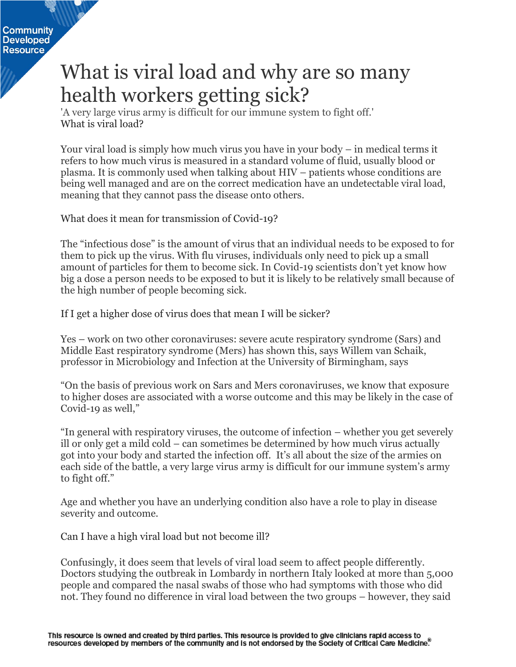## What is viral load and why are so many health workers getting sick?

'A very large virus army is difficult for our immune system to fight off.' What is viral load?

Your viral load is simply how much virus you have in your body – in medical terms it refers to how much virus is measured in a standard volume of fluid, usually blood or plasma. It is commonly used when talking about HIV – patients whose conditions are being well managed and are on the correct medication have an undetectable viral load, meaning that they cannot pass the disease onto others.

What does it mean for transmission of Covid-19?

The "infectious dose" is the amount of virus that an individual needs to be exposed to for them to pick up the virus. With flu viruses, individuals only need to pick up a small amount of particles for them to become sick. In Covid-19 scientists don't yet know how big a dose a person needs to be exposed to but it is likely to be relatively small because of the high number of people becoming sick.

If I get a higher dose of virus does that mean I will be sicker?

Yes – work on two other coronaviruses: severe acute respiratory syndrome (Sars) and Middle East respiratory syndrome (Mers) has shown this, says Willem van Schaik, professor in Microbiology and Infection at the University of Birmingham, says

"On the basis of previous work on Sars and Mers coronaviruses, we know that exposure to higher doses are associated with a worse outcome and this may be likely in the case of Covid-19 as well,"

"In general with respiratory viruses, the outcome of infection – whether you get severely ill or only get a mild cold – can sometimes be determined by how much virus actually got into your body and started the infection off. It's all about the size of the armies on each side of the battle, a very large virus army is difficult for our immune system's army to fight off."

Age and whether you have an underlying condition also have a role to play in disease severity and outcome.

Can I have a high viral load but not become ill?

Confusingly, it does seem that levels of viral load seem to affect people differently. Doctors studying the outbreak in Lombardy in northern Italy looked at more than 5,000 people and compared the nasal swabs of those who had symptoms with those who did not. They found no difference in viral load between the two groups – however, they said